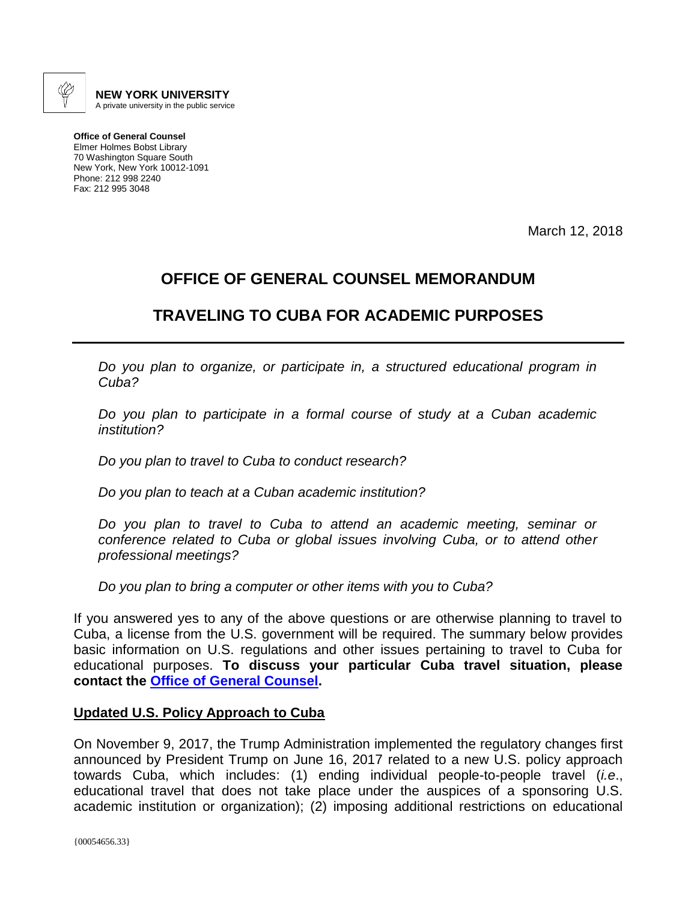

**NEW YORK UNIVERSITY**  A private university in the public service

**Office of General Counsel** Elmer Holmes Bobst Library 70 Washington Square South New York, New York 10012-1091 Phone: 212 998 2240 Fax: 212 995 3048

March 12, 2018

# **OFFICE OF GENERAL COUNSEL MEMORANDUM**

# **TRAVELING TO CUBA FOR ACADEMIC PURPOSES**

*Do you plan to organize, or participate in, a structured educational program in Cuba?*

*Do you plan to participate in a formal course of study at a Cuban academic institution?*

*Do you plan to travel to Cuba to conduct research?*

*Do you plan to teach at a Cuban academic institution?*

*Do you plan to travel to Cuba to attend an academic meeting, seminar or conference related to Cuba or global issues involving Cuba, or to attend other professional meetings?*

*Do you plan to bring a computer or other items with you to Cuba?*

If you answered yes to any of the above questions or are otherwise planning to travel to Cuba, a license from the U.S. government will be required. The summary below provides basic information on U.S. regulations and other issues pertaining to travel to Cuba for educational purposes. **To discuss your particular Cuba travel situation, please contact the [Office of General Counsel.](http://www.nyu.edu/about/leadership-university-administration/office-of-the-president/general-counsel.html)**

## **Updated U.S. Policy Approach to Cuba**

On November 9, 2017, the Trump Administration implemented the regulatory changes first announced by President Trump on June 16, 2017 related to a new U.S. policy approach towards Cuba, which includes: (1) ending individual people-to-people travel (*i.e*., educational travel that does not take place under the auspices of a sponsoring U.S. academic institution or organization); (2) imposing additional restrictions on educational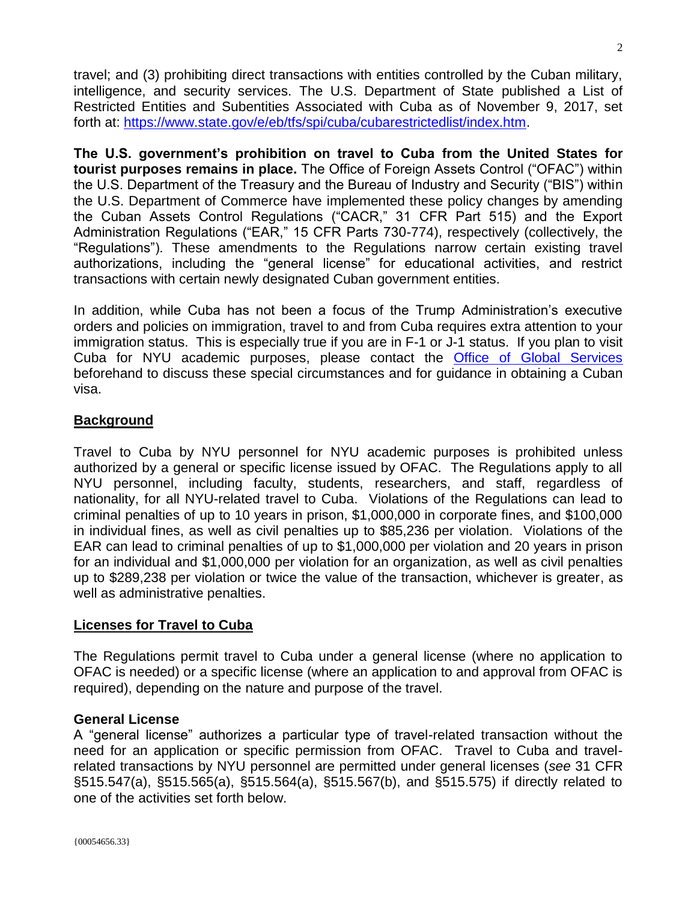travel; and (3) prohibiting direct transactions with entities controlled by the Cuban military, intelligence, and security services. The U.S. Department of State published a List of Restricted Entities and Subentities Associated with Cuba as of November 9, 2017, set forth at: [https://www.state.gov/e/eb/tfs/spi/cuba/cubarestrictedlist/index.htm.](https://www.state.gov/e/eb/tfs/spi/cuba/cubarestrictedlist/index.htm)

**The U.S. government's prohibition on travel to Cuba from the United States for tourist purposes remains in place.** The Office of Foreign Assets Control ("OFAC") within the U.S. Department of the Treasury and the Bureau of Industry and Security ("BIS") within the U.S. Department of Commerce have implemented these policy changes by amending the Cuban Assets Control Regulations ("CACR," 31 CFR Part 515) and the Export Administration Regulations ("EAR," 15 CFR Parts 730-774), respectively (collectively, the "Regulations"). These amendments to the Regulations narrow certain existing travel authorizations, including the "general license" for educational activities, and restrict transactions with certain newly designated Cuban government entities.

In addition, while Cuba has not been a focus of the Trump Administration's executive orders and policies on immigration, travel to and from Cuba requires extra attention to your immigration status. This is especially true if you are in F-1 or J-1 status. If you plan to visit Cuba for NYU academic purposes, please contact the [Office of Global Services](http://www.nyu.edu/about/leadership-university-administration/office-of-the-president/office-of-the-provost/university-life/office-of-studentaffairs/office-of-global-services.html) beforehand to discuss these special circumstances and for guidance in obtaining a Cuban visa.

## **Background**

Travel to Cuba by NYU personnel for NYU academic purposes is prohibited unless authorized by a general or specific license issued by OFAC. The Regulations apply to all NYU personnel, including faculty, students, researchers, and staff, regardless of nationality, for all NYU-related travel to Cuba. Violations of the Regulations can lead to criminal penalties of up to 10 years in prison, \$1,000,000 in corporate fines, and \$100,000 in individual fines, as well as civil penalties up to \$85,236 per violation. Violations of the EAR can lead to criminal penalties of up to \$1,000,000 per violation and 20 years in prison for an individual and \$1,000,000 per violation for an organization, as well as civil penalties up to \$289,238 per violation or twice the value of the transaction, whichever is greater, as well as administrative penalties.

## **Licenses for Travel to Cuba**

The Regulations permit travel to Cuba under a general license (where no application to OFAC is needed) or a specific license (where an application to and approval from OFAC is required), depending on the nature and purpose of the travel.

## **General License**

A "general license" authorizes a particular type of travel-related transaction without the need for an application or specific permission from OFAC. Travel to Cuba and travelrelated transactions by NYU personnel are permitted under general licenses (*see* 31 CFR §515.547(a), §515.565(a), §515.564(a), §515.567(b), and §515.575) if directly related to one of the activities set forth below.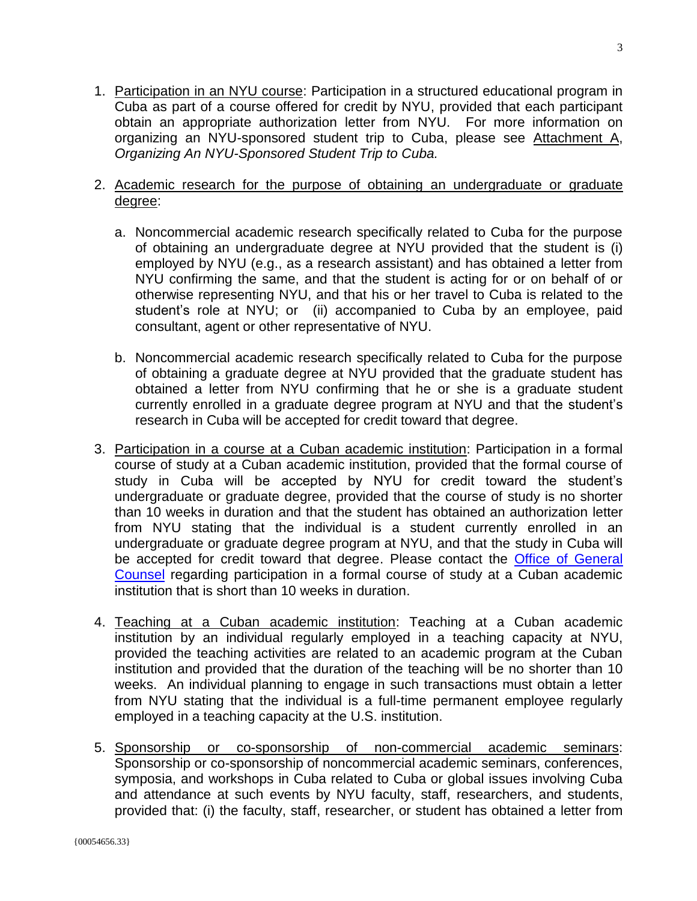1. Participation in an NYU course: Participation in a structured educational program in Cuba as part of a course offered for credit by NYU, provided that each participant obtain an appropriate authorization letter from NYU. For more information on organizing an NYU-sponsored student trip to Cuba, please see Attachment A, *Organizing An NYU-Sponsored Student Trip to Cuba.*

## 2. Academic research for the purpose of obtaining an undergraduate or graduate degree:

- a. Noncommercial academic research specifically related to Cuba for the purpose of obtaining an undergraduate degree at NYU provided that the student is (i) employed by NYU (e.g., as a research assistant) and has obtained a letter from NYU confirming the same, and that the student is acting for or on behalf of or otherwise representing NYU, and that his or her travel to Cuba is related to the student's role at NYU; or (ii) accompanied to Cuba by an employee, paid consultant, agent or other representative of NYU.
- b. Noncommercial academic research specifically related to Cuba for the purpose of obtaining a graduate degree at NYU provided that the graduate student has obtained a letter from NYU confirming that he or she is a graduate student currently enrolled in a graduate degree program at NYU and that the student's research in Cuba will be accepted for credit toward that degree.
- 3. Participation in a course at a Cuban academic institution: Participation in a formal course of study at a Cuban academic institution, provided that the formal course of study in Cuba will be accepted by NYU for credit toward the student's undergraduate or graduate degree, provided that the course of study is no shorter than 10 weeks in duration and that the student has obtained an authorization letter from NYU stating that the individual is a student currently enrolled in an undergraduate or graduate degree program at NYU, and that the study in Cuba will be accepted for credit toward that degree. Please contact the Office of General [Counsel](http://www.nyu.edu/about/leadership-university-administration/office-of-the-president/general-counsel.html) regarding participation in a formal course of study at a Cuban academic institution that is short than 10 weeks in duration.
- 4. Teaching at a Cuban academic institution: Teaching at a Cuban academic institution by an individual regularly employed in a teaching capacity at NYU, provided the teaching activities are related to an academic program at the Cuban institution and provided that the duration of the teaching will be no shorter than 10 weeks. An individual planning to engage in such transactions must obtain a letter from NYU stating that the individual is a full-time permanent employee regularly employed in a teaching capacity at the U.S. institution.
- 5. Sponsorship or co-sponsorship of non-commercial academic seminars: Sponsorship or co-sponsorship of noncommercial academic seminars, conferences, symposia, and workshops in Cuba related to Cuba or global issues involving Cuba and attendance at such events by NYU faculty, staff, researchers, and students, provided that: (i) the faculty, staff, researcher, or student has obtained a letter from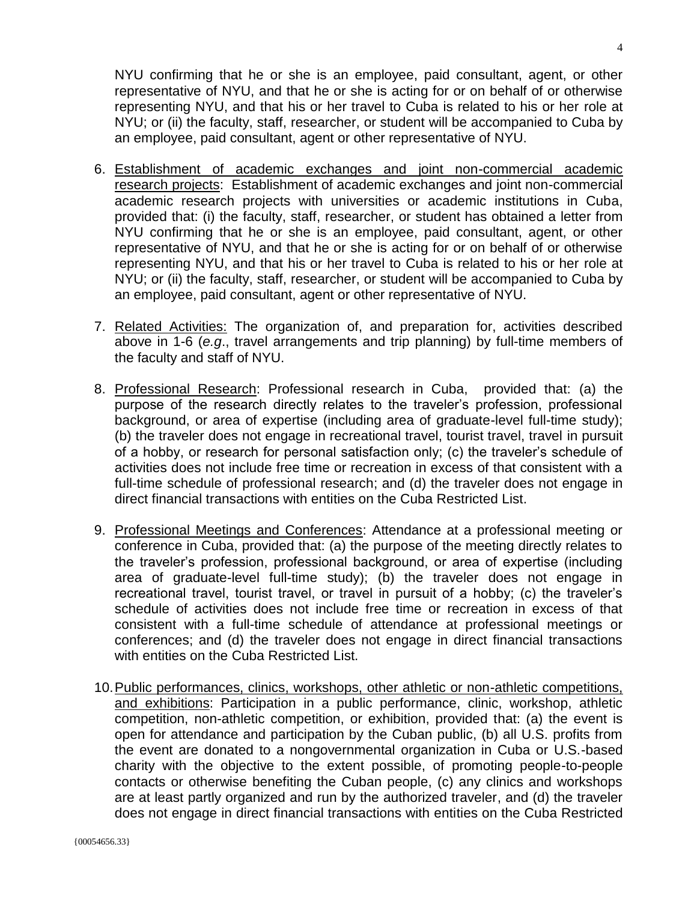NYU confirming that he or she is an employee, paid consultant, agent, or other representative of NYU, and that he or she is acting for or on behalf of or otherwise representing NYU, and that his or her travel to Cuba is related to his or her role at NYU; or (ii) the faculty, staff, researcher, or student will be accompanied to Cuba by an employee, paid consultant, agent or other representative of NYU.

- 6. Establishment of academic exchanges and joint non-commercial academic research projects: Establishment of academic exchanges and joint non-commercial academic research projects with universities or academic institutions in Cuba, provided that: (i) the faculty, staff, researcher, or student has obtained a letter from NYU confirming that he or she is an employee, paid consultant, agent, or other representative of NYU, and that he or she is acting for or on behalf of or otherwise representing NYU, and that his or her travel to Cuba is related to his or her role at NYU; or (ii) the faculty, staff, researcher, or student will be accompanied to Cuba by an employee, paid consultant, agent or other representative of NYU.
- 7. Related Activities: The organization of, and preparation for, activities described above in 1-6 (*e.g*., travel arrangements and trip planning) by full-time members of the faculty and staff of NYU.
- 8. Professional Research: Professional research in Cuba, provided that: (a) the purpose of the research directly relates to the traveler's profession, professional background, or area of expertise (including area of graduate-level full-time study); (b) the traveler does not engage in recreational travel, tourist travel, travel in pursuit of a hobby, or research for personal satisfaction only; (c) the traveler's schedule of activities does not include free time or recreation in excess of that consistent with a full-time schedule of professional research; and (d) the traveler does not engage in direct financial transactions with entities on the Cuba Restricted List.
- 9. Professional Meetings and Conferences: Attendance at a professional meeting or conference in Cuba, provided that: (a) the purpose of the meeting directly relates to the traveler's profession, professional background, or area of expertise (including area of graduate-level full-time study); (b) the traveler does not engage in recreational travel, tourist travel, or travel in pursuit of a hobby; (c) the traveler's schedule of activities does not include free time or recreation in excess of that consistent with a full-time schedule of attendance at professional meetings or conferences; and (d) the traveler does not engage in direct financial transactions with entities on the Cuba Restricted List.
- 10.Public performances, clinics, workshops, other athletic or non-athletic competitions, and exhibitions: Participation in a public performance, clinic, workshop, athletic competition, non-athletic competition, or exhibition, provided that: (a) the event is open for attendance and participation by the Cuban public, (b) all U.S. profits from the event are donated to a nongovernmental organization in Cuba or U.S.-based charity with the objective to the extent possible, of promoting people-to-people contacts or otherwise benefiting the Cuban people, (c) any clinics and workshops are at least partly organized and run by the authorized traveler, and (d) the traveler does not engage in direct financial transactions with entities on the Cuba Restricted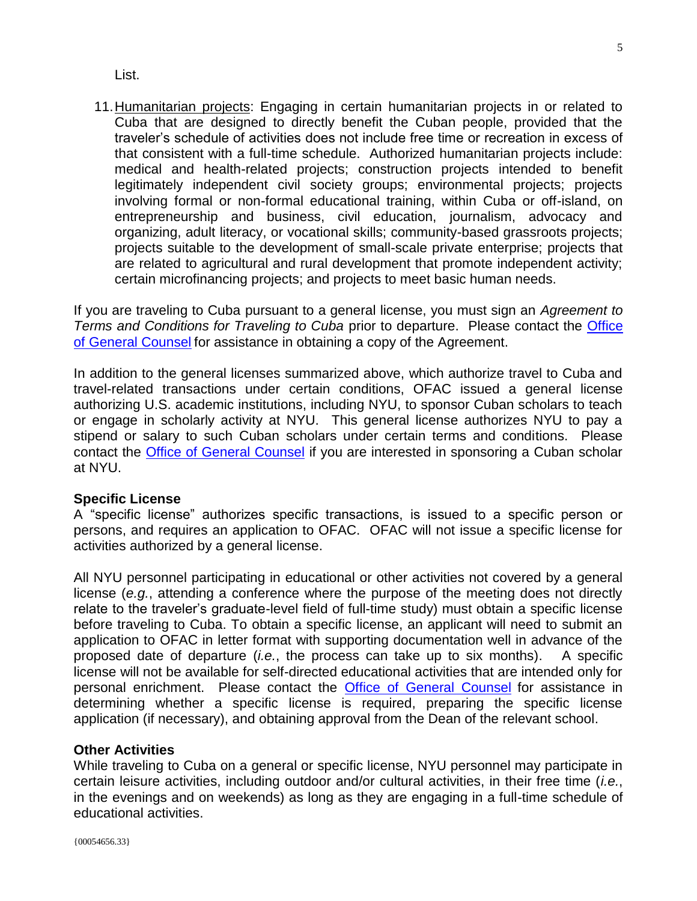List.

11.Humanitarian projects: Engaging in certain humanitarian projects in or related to Cuba that are designed to directly benefit the Cuban people, provided that the traveler's schedule of activities does not include free time or recreation in excess of that consistent with a full-time schedule. Authorized humanitarian projects include: medical and health-related projects; construction projects intended to benefit legitimately independent civil society groups; environmental projects; projects involving formal or non-formal educational training, within Cuba or off-island, on entrepreneurship and business, civil education, journalism, advocacy and organizing, adult literacy, or vocational skills; community-based grassroots projects; projects suitable to the development of small-scale private enterprise; projects that are related to agricultural and rural development that promote independent activity; certain microfinancing projects; and projects to meet basic human needs.

If you are traveling to Cuba pursuant to a general license, you must sign an *Agreement to Terms and Conditions for Traveling to Cuba* prior to departure. Please contact the [Office](http://www.nyu.edu/about/leadership-university-administration/office-of-the-president/general-counsel.html)  [of General Counsel](http://www.nyu.edu/about/leadership-university-administration/office-of-the-president/general-counsel.html) for assistance in obtaining a copy of the Agreement.

In addition to the general licenses summarized above, which authorize travel to Cuba and travel-related transactions under certain conditions, OFAC issued a general license authorizing U.S. academic institutions, including NYU, to sponsor Cuban scholars to teach or engage in scholarly activity at NYU. This general license authorizes NYU to pay a stipend or salary to such Cuban scholars under certain terms and conditions. Please contact the [Office of General Counsel](http://www.nyu.edu/about/leadership-university-administration/office-of-the-president/general-counsel.html) if you are interested in sponsoring a Cuban scholar at NYU.

## **Specific License**

A "specific license" authorizes specific transactions, is issued to a specific person or persons, and requires an application to OFAC. OFAC will not issue a specific license for activities authorized by a general license.

All NYU personnel participating in educational or other activities not covered by a general license (*e.g.*, attending a conference where the purpose of the meeting does not directly relate to the traveler's graduate-level field of full-time study) must obtain a specific license before traveling to Cuba. To obtain a specific license, an applicant will need to submit an application to OFAC in letter format with supporting documentation well in advance of the proposed date of departure (*i.e.*, the process can take up to six months). A specific license will not be available for self-directed educational activities that are intended only for personal enrichment. Please contact the **[Office of General Counsel](http://www.nyu.edu/about/leadership-university-administration/office-of-the-president/general-counsel.html)** for assistance in determining whether a specific license is required, preparing the specific license application (if necessary), and obtaining approval from the Dean of the relevant school.

#### **Other Activities**

While traveling to Cuba on a general or specific license, NYU personnel may participate in certain leisure activities, including outdoor and/or cultural activities, in their free time (*i.e.*, in the evenings and on weekends) as long as they are engaging in a full-time schedule of educational activities.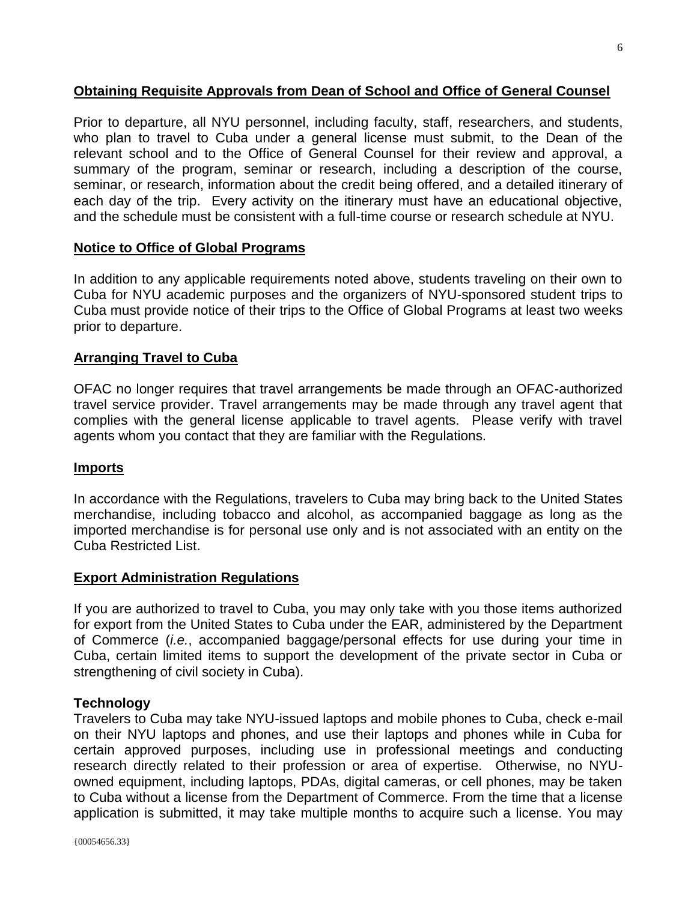# **Obtaining Requisite Approvals from Dean of School and Office of General Counsel**

Prior to departure, all NYU personnel, including faculty, staff, researchers, and students, who plan to travel to Cuba under a general license must submit, to the Dean of the relevant school and to the Office of General Counsel for their review and approval, a summary of the program, seminar or research, including a description of the course, seminar, or research, information about the credit being offered, and a detailed itinerary of each day of the trip. Every activity on the itinerary must have an educational objective, and the schedule must be consistent with a full-time course or research schedule at NYU.

#### **Notice to Office of Global Programs**

In addition to any applicable requirements noted above, students traveling on their own to Cuba for NYU academic purposes and the organizers of NYU-sponsored student trips to Cuba must provide notice of their trips to the Office of Global Programs at least two weeks prior to departure.

#### **Arranging Travel to Cuba**

OFAC no longer requires that travel arrangements be made through an OFAC-authorized travel service provider. Travel arrangements may be made through any travel agent that complies with the general license applicable to travel agents. Please verify with travel agents whom you contact that they are familiar with the Regulations.

#### **Imports**

In accordance with the Regulations, travelers to Cuba may bring back to the United States merchandise, including tobacco and alcohol, as accompanied baggage as long as the imported merchandise is for personal use only and is not associated with an entity on the Cuba Restricted List.

#### **Export Administration Regulations**

If you are authorized to travel to Cuba, you may only take with you those items authorized for export from the United States to Cuba under the EAR, administered by the Department of Commerce (*i.e.*, accompanied baggage/personal effects for use during your time in Cuba, certain limited items to support the development of the private sector in Cuba or strengthening of civil society in Cuba).

#### **Technology**

Travelers to Cuba may take NYU-issued laptops and mobile phones to Cuba, check e-mail on their NYU laptops and phones, and use their laptops and phones while in Cuba for certain approved purposes, including use in professional meetings and conducting research directly related to their profession or area of expertise. Otherwise, no NYUowned equipment, including laptops, PDAs, digital cameras, or cell phones, may be taken to Cuba without a license from the Department of Commerce. From the time that a license application is submitted, it may take multiple months to acquire such a license. You may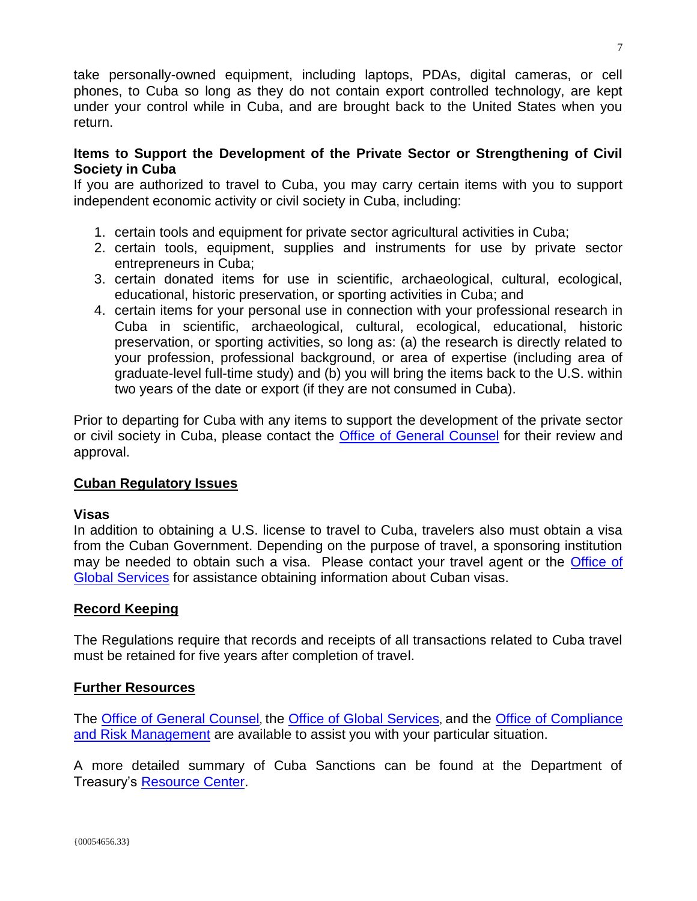take personally-owned equipment, including laptops, PDAs, digital cameras, or cell phones, to Cuba so long as they do not contain export controlled technology, are kept under your control while in Cuba, and are brought back to the United States when you return.

## **Items to Support the Development of the Private Sector or Strengthening of Civil Society in Cuba**

If you are authorized to travel to Cuba, you may carry certain items with you to support independent economic activity or civil society in Cuba, including:

- 1. certain tools and equipment for private sector agricultural activities in Cuba;
- 2. certain tools, equipment, supplies and instruments for use by private sector entrepreneurs in Cuba;
- 3. certain donated items for use in scientific, archaeological, cultural, ecological, educational, historic preservation, or sporting activities in Cuba; and
- 4. certain items for your personal use in connection with your professional research in Cuba in scientific, archaeological, cultural, ecological, educational, historic preservation, or sporting activities, so long as: (a) the research is directly related to your profession, professional background, or area of expertise (including area of graduate-level full-time study) and (b) you will bring the items back to the U.S. within two years of the date or export (if they are not consumed in Cuba).

Prior to departing for Cuba with any items to support the development of the private sector or civil society in Cuba, please contact the [Office of General Counsel](http://www.nyu.edu/about/leadership-university-administration/office-of-the-president/general-counsel.html) for their review and approval.

## **Cuban Regulatory Issues**

#### **Visas**

In addition to obtaining a U.S. license to travel to Cuba, travelers also must obtain a visa from the Cuban Government. Depending on the purpose of travel, a sponsoring institution may be needed to obtain such a visa. Please contact your travel agent or the **Office of** [Global Services](http://www.nyu.edu/about/leadership-university-administration/office-of-the-president/office-of-the-provost/university-life/office-of-studentaffairs/office-of-global-services.html) for assistance obtaining information about Cuban visas.

## **Record Keeping**

The Regulations require that records and receipts of all transactions related to Cuba travel must be retained for five years after completion of travel.

## **Further Resources**

The [Office of General Counsel](http://www.nyu.edu/about/leadership-university-administration/office-of-the-president/general-counsel.html), the [Office of Global Services](http://www.nyu.edu/about/leadership-university-administration/office-of-the-president/office-of-the-provost/university-life/office-of-studentaffairs/office-of-global-services.html), and the Office of Compliance [and Risk Management](http://www.nyu.edu/about/leadership-university-administration/office-of-the-president/deputy-president/compliance-and-risk-management.html) are available to assist you with your particular situation.

A more detailed summary of Cuba Sanctions can be found at the Department of Treasury's [Resource Center.](http://www.treasury.gov/resource-center/sanctions/Programs/Pages/cuba.aspx)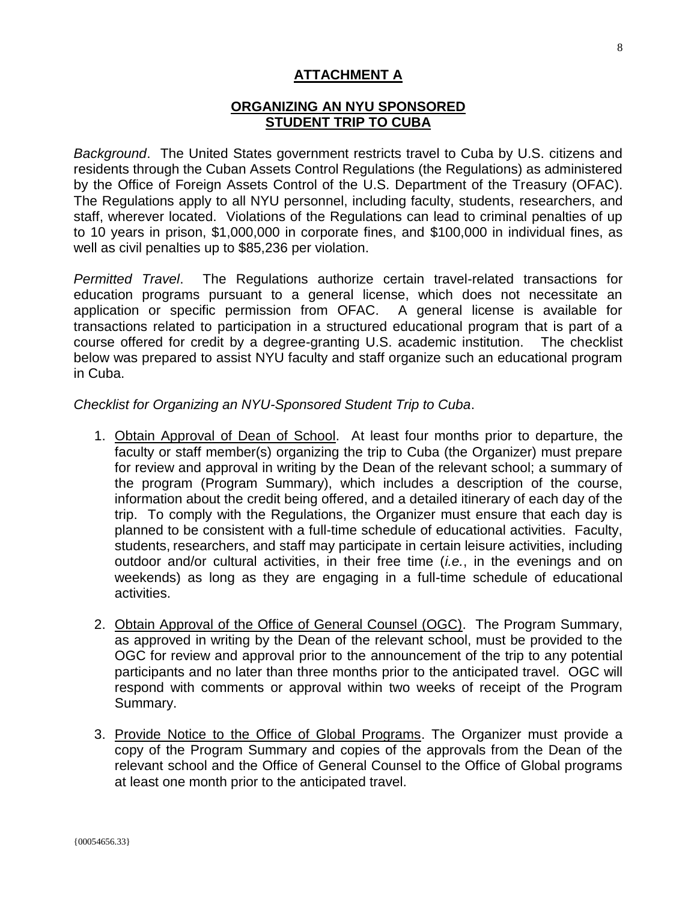# **ATTACHMENT A**

# **ORGANIZING AN NYU SPONSORED STUDENT TRIP TO CUBA**

*Background*. The United States government restricts travel to Cuba by U.S. citizens and residents through the Cuban Assets Control Regulations (the Regulations) as administered by the Office of Foreign Assets Control of the U.S. Department of the Treasury (OFAC). The Regulations apply to all NYU personnel, including faculty, students, researchers, and staff, wherever located. Violations of the Regulations can lead to criminal penalties of up to 10 years in prison, \$1,000,000 in corporate fines, and \$100,000 in individual fines, as well as civil penalties up to \$85,236 per violation.

*Permitted Travel*. The Regulations authorize certain travel-related transactions for education programs pursuant to a general license, which does not necessitate an application or specific permission from OFAC. A general license is available for transactions related to participation in a structured educational program that is part of a course offered for credit by a degree-granting U.S. academic institution. The checklist below was prepared to assist NYU faculty and staff organize such an educational program in Cuba.

## *Checklist for Organizing an NYU-Sponsored Student Trip to Cuba*.

- 1. Obtain Approval of Dean of School. At least four months prior to departure, the faculty or staff member(s) organizing the trip to Cuba (the Organizer) must prepare for review and approval in writing by the Dean of the relevant school; a summary of the program (Program Summary), which includes a description of the course, information about the credit being offered, and a detailed itinerary of each day of the trip. To comply with the Regulations, the Organizer must ensure that each day is planned to be consistent with a full-time schedule of educational activities. Faculty, students, researchers, and staff may participate in certain leisure activities, including outdoor and/or cultural activities, in their free time (*i.e.*, in the evenings and on weekends) as long as they are engaging in a full-time schedule of educational activities.
- 2. Obtain Approval of the Office of General Counsel (OGC). The Program Summary, as approved in writing by the Dean of the relevant school, must be provided to the OGC for review and approval prior to the announcement of the trip to any potential participants and no later than three months prior to the anticipated travel. OGC will respond with comments or approval within two weeks of receipt of the Program Summary.
- 3. Provide Notice to the Office of Global Programs. The Organizer must provide a copy of the Program Summary and copies of the approvals from the Dean of the relevant school and the Office of General Counsel to the Office of Global programs at least one month prior to the anticipated travel.